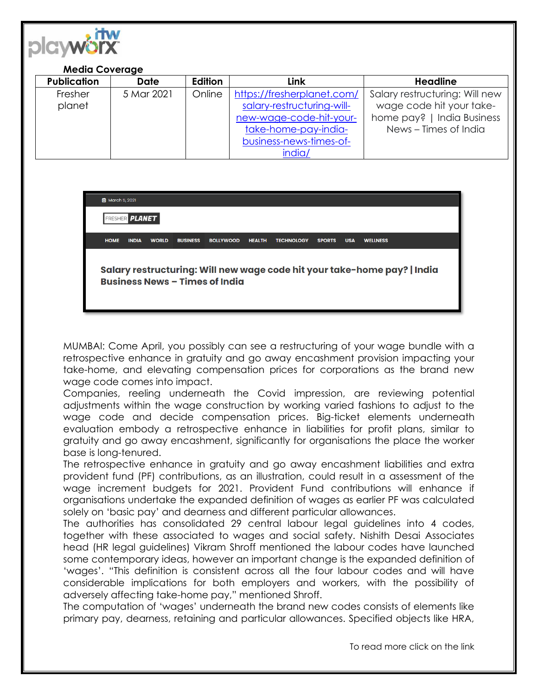

| <b>Publication</b> | <b>Date</b> | Edition | Link                       | <b>Headline</b>                |
|--------------------|-------------|---------|----------------------------|--------------------------------|
| Fresher            | 5 Mar 2021  | Online  | https://fresherplanet.com/ | Salary restructuring: Will new |
| planet             |             |         | salary-restructuring-will- | wage code hit your take-       |
|                    |             |         | new-wage-code-hit-your-    | home pay?   India Business     |
|                    |             |         | take-home-pay-india-       | News - Times of India          |
|                    |             |         | business-news-times-of-    |                                |
|                    |             |         | india/                     |                                |

**茴** March 5, 2021

**FRESHER PLANET** 

**HOME INDIA WORLD BUSINESS WELLNESS** BOLLYWOOD HEALTH TECHNOLOGY **SPORTS USA** 

Salary restructuring: Will new wage code hit your take-home pay? | India **Business News - Times of India** 

MUMBAI: Come April, you possibly can see a restructuring of your wage bundle with a retrospective enhance in gratuity and go away encashment provision impacting your take-home, and elevating compensation prices for corporations as the brand new wage code comes into impact.

Companies, reeling underneath the Covid impression, are reviewing potential adjustments within the wage construction by working varied fashions to adjust to the wage code and decide compensation prices. Big-ticket elements underneath evaluation embody a retrospective enhance in liabilities for profit plans, similar to gratuity and go away encashment, significantly for organisations the place the worker base is long-tenured.

The retrospective enhance in gratuity and go away encashment liabilities and extra provident fund (PF) contributions, as an illustration, could result in a assessment of the wage increment budgets for 2021. Provident Fund contributions will enhance if organisations undertake the expanded definition of wages as earlier PF was calculated solely on 'basic pay' and dearness and different particular allowances.

The authorities has consolidated 29 central labour legal guidelines into 4 codes, together with these associated to wages and social safety. Nishith Desai Associates head (HR legal guidelines) Vikram Shroff mentioned the labour codes have launched some contemporary ideas, however an important change is the expanded definition of 'wages'. "This definition is consistent across all the four labour codes and will have considerable implications for both employers and workers, with the possibility of adversely affecting take-home pay," mentioned Shroff.

The computation of 'wages' underneath the brand new codes consists of elements like primary pay, dearness, retaining and particular allowances. Specified objects like HRA,

To read more click on the link